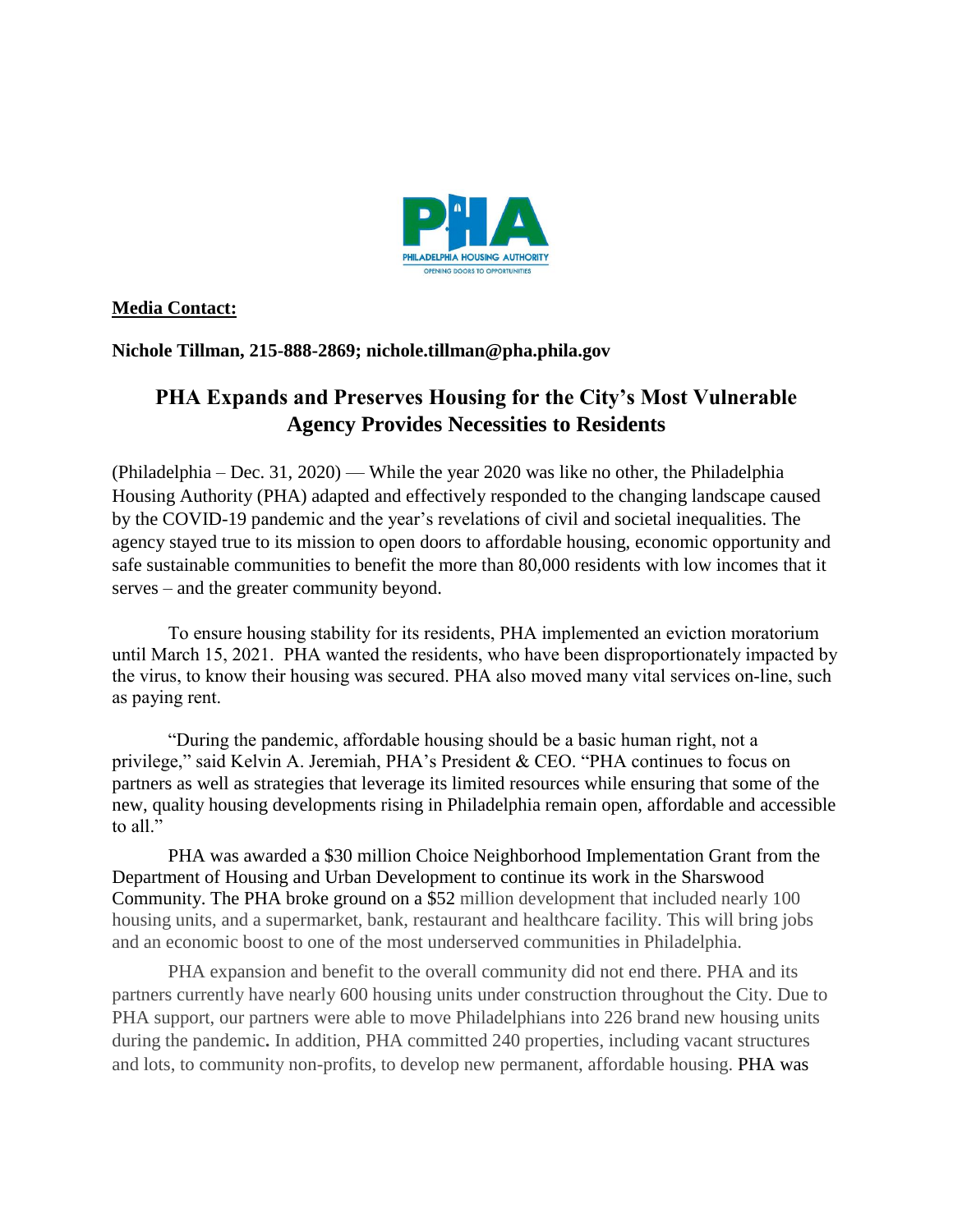

## **Media Contact:**

**Nichole Tillman, 215-888-2869; nichole.tillman@pha.phila.gov**

## **PHA Expands and Preserves Housing for the City's Most Vulnerable Agency Provides Necessities to Residents**

(Philadelphia – Dec. 31, 2020) — While the year 2020 was like no other, the Philadelphia Housing Authority (PHA) adapted and effectively responded to the changing landscape caused by the COVID-19 pandemic and the year's revelations of civil and societal inequalities. The agency stayed true to its mission to open doors to affordable housing, economic opportunity and safe sustainable communities to benefit the more than 80,000 residents with low incomes that it serves – and the greater community beyond.

To ensure housing stability for its residents, PHA implemented an eviction moratorium until March 15, 2021. PHA wanted the residents, who have been disproportionately impacted by the virus, to know their housing was secured. PHA also moved many vital services on-line, such as paying rent.

"During the pandemic, affordable housing should be a basic human right, not a privilege," said Kelvin A. Jeremiah, PHA's President & CEO. "PHA continues to focus on partners as well as strategies that leverage its limited resources while ensuring that some of the new, quality housing developments rising in Philadelphia remain open, affordable and accessible to all."

PHA was awarded a \$30 million Choice Neighborhood Implementation Grant from the Department of Housing and Urban Development to continue its work in the Sharswood Community. The PHA broke ground on a \$52 million development that included nearly 100 housing units, and a supermarket, bank, restaurant and healthcare facility. This will bring jobs and an economic boost to one of the most underserved communities in Philadelphia.

PHA expansion and benefit to the overall community did not end there. PHA and its partners currently have nearly 600 housing units under construction throughout the City. Due to PHA support, our partners were able to move Philadelphians into 226 brand new housing units during the pandemic**.** In addition, PHA committed 240 properties, including vacant structures and lots, to community non-profits, to develop new permanent, affordable housing. PHA was